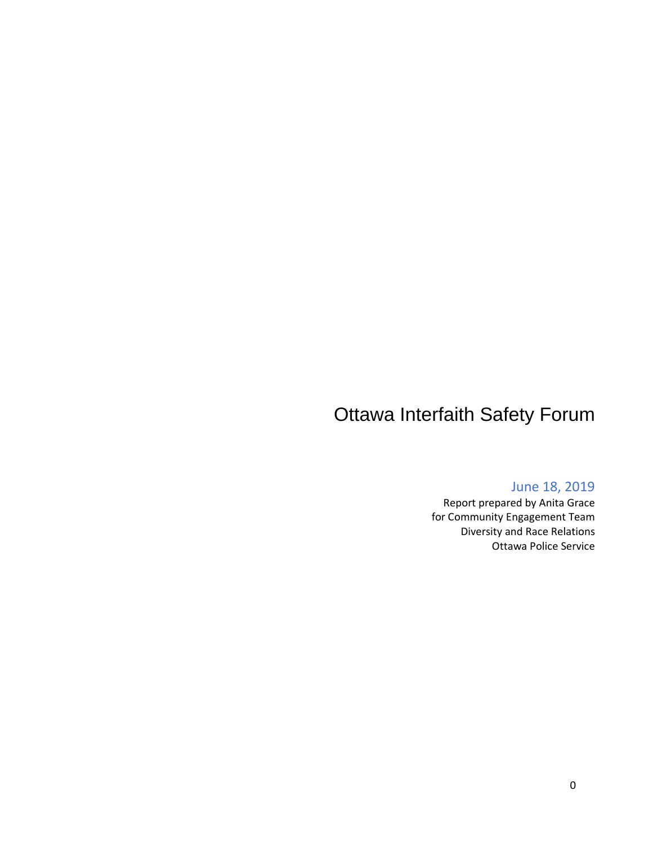# Ottawa Interfaith Safety Forum

#### June 18, 2019

Report prepared by Anita Grace for Community Engagement Team Diversity and Race Relations Ottawa Police Service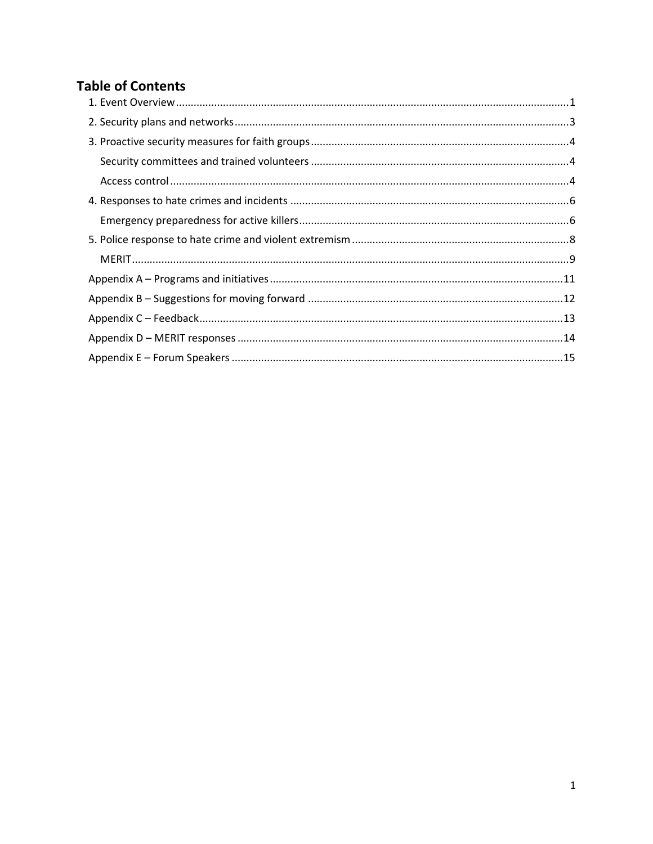# **Table of Contents**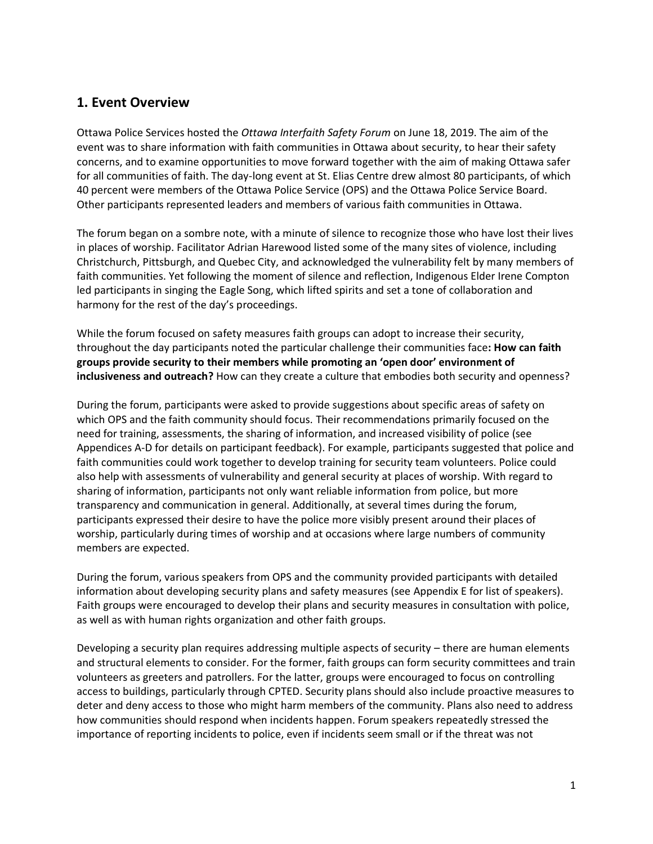### <span id="page-2-0"></span>**1. Event Overview**

Ottawa Police Services hosted the *Ottawa Interfaith Safety Forum* on June 18, 2019. The aim of the event was to share information with faith communities in Ottawa about security, to hear their safety concerns, and to examine opportunities to move forward together with the aim of making Ottawa safer for all communities of faith. The day-long event at St. Elias Centre drew almost 80 participants, of which 40 percent were members of the Ottawa Police Service (OPS) and the Ottawa Police Service Board. Other participants represented leaders and members of various faith communities in Ottawa.

The forum began on a sombre note, with a minute of silence to recognize those who have lost their lives in places of worship. Facilitator Adrian Harewood listed some of the many sites of violence, including Christchurch, Pittsburgh, and Quebec City, and acknowledged the vulnerability felt by many members of faith communities. Yet following the moment of silence and reflection, Indigenous Elder Irene Compton led participants in singing the Eagle Song, which lifted spirits and set a tone of collaboration and harmony for the rest of the day's proceedings.

While the forum focused on safety measures faith groups can adopt to increase their security, throughout the day participants noted the particular challenge their communities face**: How can faith groups provide security to their members while promoting an 'open door' environment of inclusiveness and outreach?** How can they create a culture that embodies both security and openness?

During the forum, participants were asked to provide suggestions about specific areas of safety on which OPS and the faith community should focus. Their recommendations primarily focused on the need for training, assessments, the sharing of information, and increased visibility of police (see Appendices A-D for details on participant feedback). For example, participants suggested that police and faith communities could work together to develop training for security team volunteers. Police could also help with assessments of vulnerability and general security at places of worship. With regard to sharing of information, participants not only want reliable information from police, but more transparency and communication in general. Additionally, at several times during the forum, participants expressed their desire to have the police more visibly present around their places of worship, particularly during times of worship and at occasions where large numbers of community members are expected.

During the forum, various speakers from OPS and the community provided participants with detailed information about developing security plans and safety measures (see Appendix E for list of speakers). Faith groups were encouraged to develop their plans and security measures in consultation with police, as well as with human rights organization and other faith groups.

Developing a security plan requires addressing multiple aspects of security – there are human elements and structural elements to consider. For the former, faith groups can form security committees and train volunteers as greeters and patrollers. For the latter, groups were encouraged to focus on controlling access to buildings, particularly through CPTED. Security plans should also include proactive measures to deter and deny access to those who might harm members of the community. Plans also need to address how communities should respond when incidents happen. Forum speakers repeatedly stressed the importance of reporting incidents to police, even if incidents seem small or if the threat was not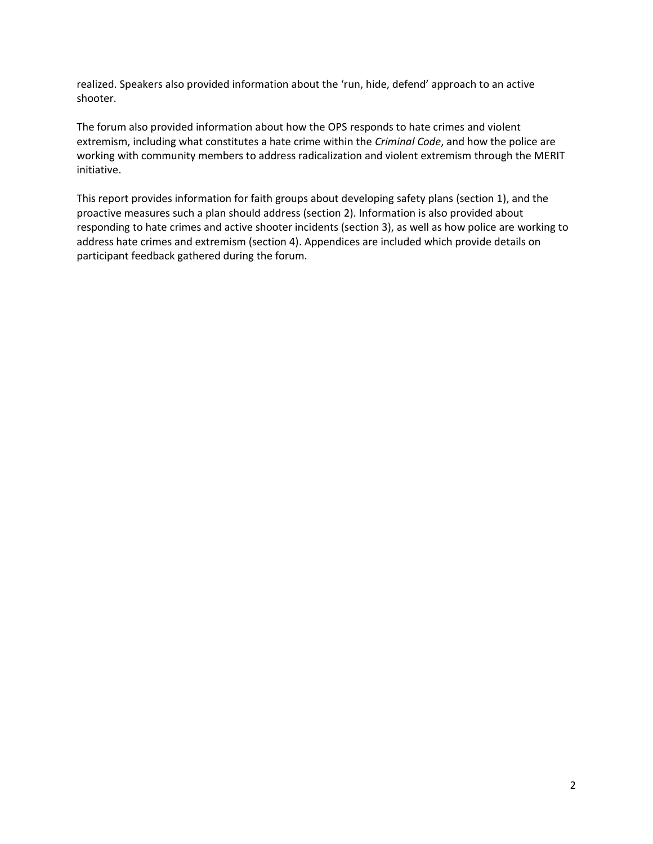realized. Speakers also provided information about the 'run, hide, defend' approach to an active shooter.

The forum also provided information about how the OPS responds to hate crimes and violent extremism, including what constitutes a hate crime within the *Criminal Code*, and how the police are working with community members to address radicalization and violent extremism through the MERIT initiative.

This report provides information for faith groups about developing safety plans (section 1), and the proactive measures such a plan should address (section 2). Information is also provided about responding to hate crimes and active shooter incidents (section 3), as well as how police are working to address hate crimes and extremism (section 4). Appendices are included which provide details on participant feedback gathered during the forum.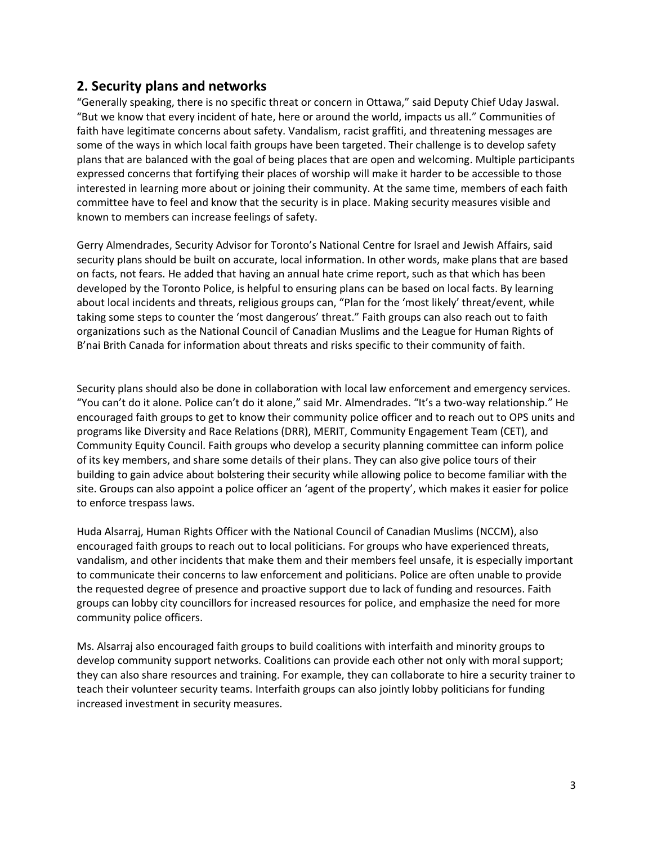#### <span id="page-4-0"></span>**2. Security plans and networks**

"Generally speaking, there is no specific threat or concern in Ottawa," said Deputy Chief Uday Jaswal. "But we know that every incident of hate, here or around the world, impacts us all." Communities of faith have legitimate concerns about safety. Vandalism, racist graffiti, and threatening messages are some of the ways in which local faith groups have been targeted. Their challenge is to develop safety plans that are balanced with the goal of being places that are open and welcoming. Multiple participants expressed concerns that fortifying their places of worship will make it harder to be accessible to those interested in learning more about or joining their community. At the same time, members of each faith committee have to feel and know that the security is in place. Making security measures visible and known to members can increase feelings of safety.

Gerry Almendrades, Security Advisor for Toronto's National Centre for Israel and Jewish Affairs, said security plans should be built on accurate, local information. In other words, make plans that are based on facts, not fears. He added that having an annual hate crime report, such as that which has been developed by the Toronto Police, is helpful to ensuring plans can be based on local facts. By learning about local incidents and threats, religious groups can, "Plan for the 'most likely' threat/event, while taking some steps to counter the 'most dangerous' threat." Faith groups can also reach out to faith organizations such as the National Council of Canadian Muslims and the League for Human Rights of B'nai Brith Canada for information about threats and risks specific to their community of faith.

Security plans should also be done in collaboration with local law enforcement and emergency services. "You can't do it alone. Police can't do it alone," said Mr. Almendrades. "It's a two-way relationship." He encouraged faith groups to get to know their community police officer and to reach out to OPS units and programs like Diversity and Race Relations (DRR), MERIT, Community Engagement Team (CET), and Community Equity Council. Faith groups who develop a security planning committee can inform police of its key members, and share some details of their plans. They can also give police tours of their building to gain advice about bolstering their security while allowing police to become familiar with the site. Groups can also appoint a police officer an 'agent of the property', which makes it easier for police to enforce trespass laws.

Huda Alsarraj, Human Rights Officer with the National Council of Canadian Muslims (NCCM), also encouraged faith groups to reach out to local politicians. For groups who have experienced threats, vandalism, and other incidents that make them and their members feel unsafe, it is especially important to communicate their concerns to law enforcement and politicians. Police are often unable to provide the requested degree of presence and proactive support due to lack of funding and resources. Faith groups can lobby city councillors for increased resources for police, and emphasize the need for more community police officers.

Ms. Alsarraj also encouraged faith groups to build coalitions with interfaith and minority groups to develop community support networks. Coalitions can provide each other not only with moral support; they can also share resources and training. For example, they can collaborate to hire a security trainer to teach their volunteer security teams. Interfaith groups can also jointly lobby politicians for funding increased investment in security measures.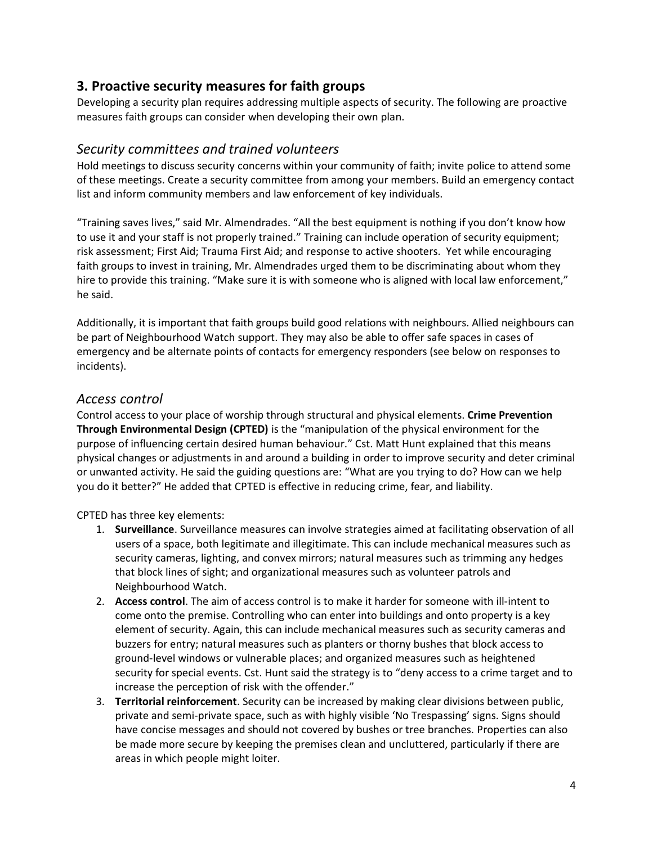### <span id="page-5-0"></span>**3. Proactive security measures for faith groups**

Developing a security plan requires addressing multiple aspects of security. The following are proactive measures faith groups can consider when developing their own plan.

#### <span id="page-5-1"></span>*Security committees and trained volunteers*

Hold meetings to discuss security concerns within your community of faith; invite police to attend some of these meetings. Create a security committee from among your members. Build an emergency contact list and inform community members and law enforcement of key individuals.

"Training saves lives," said Mr. Almendrades. "All the best equipment is nothing if you don't know how to use it and your staff is not properly trained." Training can include operation of security equipment; risk assessment; First Aid; Trauma First Aid; and response to active shooters. Yet while encouraging faith groups to invest in training, Mr. Almendrades urged them to be discriminating about whom they hire to provide this training. "Make sure it is with someone who is aligned with local law enforcement," he said.

Additionally, it is important that faith groups build good relations with neighbours. Allied neighbours can be part of Neighbourhood Watch support. They may also be able to offer safe spaces in cases of emergency and be alternate points of contacts for emergency responders (see below on responses to incidents).

### <span id="page-5-2"></span>*Access control*

Control access to your place of worship through structural and physical elements. **Crime Prevention Through Environmental Design (CPTED)** is the "manipulation of the physical environment for the purpose of influencing certain desired human behaviour." Cst. Matt Hunt explained that this means physical changes or adjustments in and around a building in order to improve security and deter criminal or unwanted activity. He said the guiding questions are: "What are you trying to do? How can we help you do it better?" He added that CPTED is effective in reducing crime, fear, and liability.

CPTED has three key elements:

- 1. **Surveillance**. Surveillance measures can involve strategies aimed at facilitating observation of all users of a space, both legitimate and illegitimate. This can include mechanical measures such as security cameras, lighting, and convex mirrors; natural measures such as trimming any hedges that block lines of sight; and organizational measures such as volunteer patrols and Neighbourhood Watch.
- 2. **Access control**. The aim of access control is to make it harder for someone with ill-intent to come onto the premise. Controlling who can enter into buildings and onto property is a key element of security. Again, this can include mechanical measures such as security cameras and buzzers for entry; natural measures such as planters or thorny bushes that block access to ground-level windows or vulnerable places; and organized measures such as heightened security for special events. Cst. Hunt said the strategy is to "deny access to a crime target and to increase the perception of risk with the offender."
- 3. **Territorial reinforcement**. Security can be increased by making clear divisions between public, private and semi-private space, such as with highly visible 'No Trespassing' signs. Signs should have concise messages and should not covered by bushes or tree branches. Properties can also be made more secure by keeping the premises clean and uncluttered, particularly if there are areas in which people might loiter.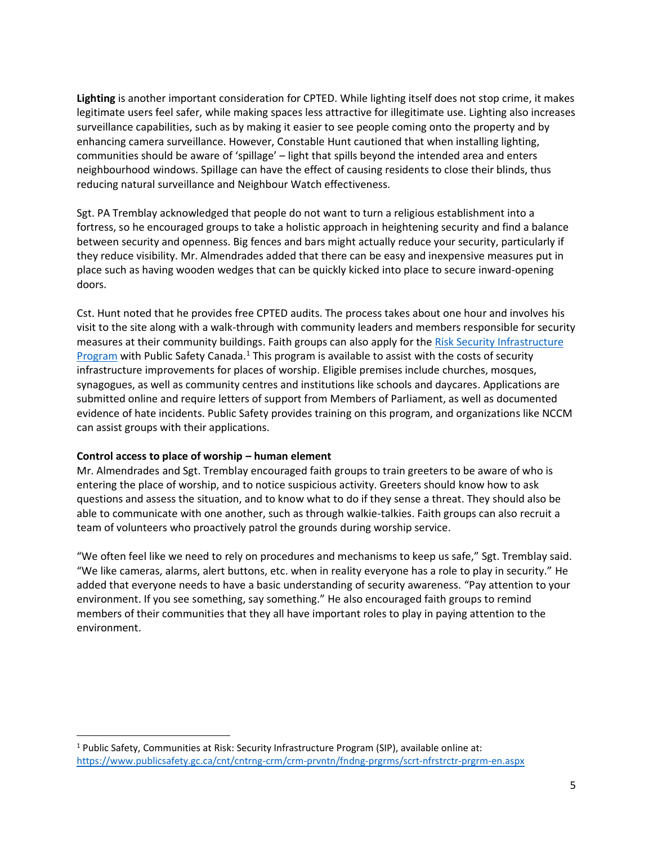**Lighting** is another important consideration for CPTED. While lighting itself does not stop crime, it makes legitimate users feel safer, while making spaces less attractive for illegitimate use. Lighting also increases surveillance capabilities, such as by making it easier to see people coming onto the property and by enhancing camera surveillance. However, Constable Hunt cautioned that when installing lighting, communities should be aware of 'spillage' – light that spills beyond the intended area and enters neighbourhood windows. Spillage can have the effect of causing residents to close their blinds, thus reducing natural surveillance and Neighbour Watch effectiveness.

Sgt. PA Tremblay acknowledged that people do not want to turn a religious establishment into a fortress, so he encouraged groups to take a holistic approach in heightening security and find a balance between security and openness. Big fences and bars might actually reduce your security, particularly if they reduce visibility. Mr. Almendrades added that there can be easy and inexpensive measures put in place such as having wooden wedges that can be quickly kicked into place to secure inward-opening doors.

Cst. Hunt noted that he provides free CPTED audits. The process takes about one hour and involves his visit to the site along with a walk-through with community leaders and members responsible for security measures at their community buildings. Faith groups can also apply for the [Risk Security Infrastructure](https://www.publicsafety.gc.ca/cnt/cntrng-crm/crm-prvntn/fndng-prgrms/scrt-nfrstrctr-prgrm-en.aspx)  [Program](https://www.publicsafety.gc.ca/cnt/cntrng-crm/crm-prvntn/fndng-prgrms/scrt-nfrstrctr-prgrm-en.aspx) with Public Safety Canada.<sup>1</sup> This program is available to assist with the costs of security infrastructure improvements for places of worship. Eligible premises include churches, mosques, synagogues, as well as community centres and institutions like schools and daycares. Applications are submitted online and require letters of support from Members of Parliament, as well as documented evidence of hate incidents. Public Safety provides training on this program, and organizations like NCCM can assist groups with their applications.

#### **Control access to place of worship – human element**

Mr. Almendrades and Sgt. Tremblay encouraged faith groups to train greeters to be aware of who is entering the place of worship, and to notice suspicious activity. Greeters should know how to ask questions and assess the situation, and to know what to do if they sense a threat. They should also be able to communicate with one another, such as through walkie-talkies. Faith groups can also recruit a team of volunteers who proactively patrol the grounds during worship service.

"We often feel like we need to rely on procedures and mechanisms to keep us safe," Sgt. Tremblay said. "We like cameras, alarms, alert buttons, etc. when in reality everyone has a role to play in security." He added that everyone needs to have a basic understanding of security awareness. "Pay attention to your environment. If you see something, say something." He also encouraged faith groups to remind members of their communities that they all have important roles to play in paying attention to the environment.

<sup>1</sup> Public Safety, Communities at Risk: Security Infrastructure Program (SIP), available online at: <https://www.publicsafety.gc.ca/cnt/cntrng-crm/crm-prvntn/fndng-prgrms/scrt-nfrstrctr-prgrm-en.aspx>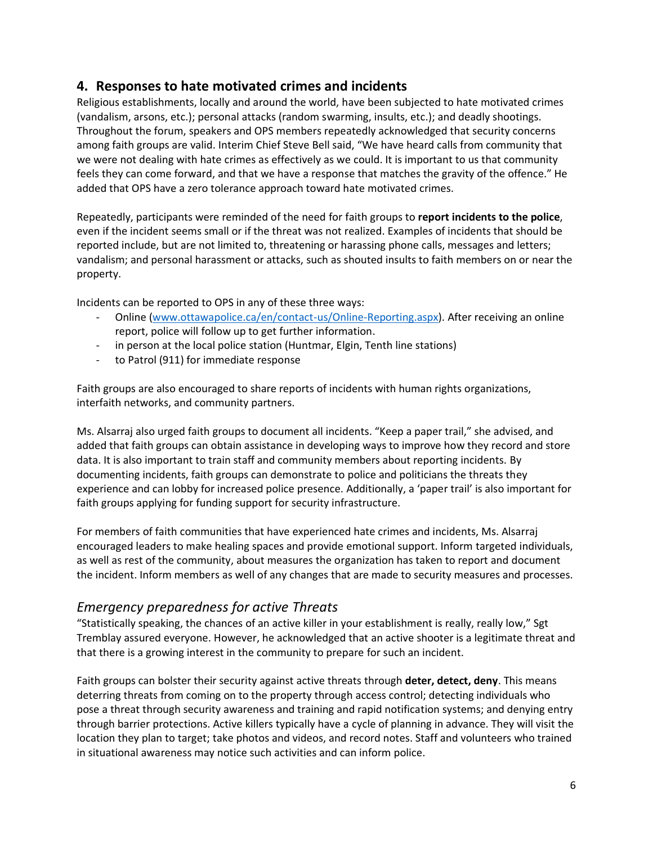## <span id="page-7-0"></span>**4. Responses to hate motivated crimes and incidents**

Religious establishments, locally and around the world, have been subjected to hate motivated crimes (vandalism, arsons, etc.); personal attacks (random swarming, insults, etc.); and deadly shootings. Throughout the forum, speakers and OPS members repeatedly acknowledged that security concerns among faith groups are valid. Interim Chief Steve Bell said, "We have heard calls from community that we were not dealing with hate crimes as effectively as we could. It is important to us that community feels they can come forward, and that we have a response that matches the gravity of the offence." He added that OPS have a zero tolerance approach toward hate motivated crimes.

Repeatedly, participants were reminded of the need for faith groups to **report incidents to the police**, even if the incident seems small or if the threat was not realized. Examples of incidents that should be reported include, but are not limited to, threatening or harassing phone calls, messages and letters; vandalism; and personal harassment or attacks, such as shouted insults to faith members on or near the property.

Incidents can be reported to OPS in any of these three ways:

- Online [\(www.ottawapolice.ca/en/contact-us/Online-Reporting.aspx\)](http://www.ottawapolice.ca/en/contact-us/Online-Reporting.aspx). After receiving an online report, police will follow up to get further information.
- in person at the local police station (Huntmar, Elgin, Tenth line stations)
- to Patrol (911) for immediate response

Faith groups are also encouraged to share reports of incidents with human rights organizations, interfaith networks, and community partners.

Ms. Alsarraj also urged faith groups to document all incidents. "Keep a paper trail," she advised, and added that faith groups can obtain assistance in developing ways to improve how they record and store data. It is also important to train staff and community members about reporting incidents. By documenting incidents, faith groups can demonstrate to police and politicians the threats they experience and can lobby for increased police presence. Additionally, a 'paper trail' is also important for faith groups applying for funding support for security infrastructure.

For members of faith communities that have experienced hate crimes and incidents, Ms. Alsarraj encouraged leaders to make healing spaces and provide emotional support. Inform targeted individuals, as well as rest of the community, about measures the organization has taken to report and document the incident. Inform members as well of any changes that are made to security measures and processes.

### <span id="page-7-1"></span>*Emergency preparedness for active Threats*

"Statistically speaking, the chances of an active killer in your establishment is really, really low," Sgt Tremblay assured everyone. However, he acknowledged that an active shooter is a legitimate threat and that there is a growing interest in the community to prepare for such an incident.

Faith groups can bolster their security against active threats through **deter, detect, deny**. This means deterring threats from coming on to the property through access control; detecting individuals who pose a threat through security awareness and training and rapid notification systems; and denying entry through barrier protections. Active killers typically have a cycle of planning in advance. They will visit the location they plan to target; take photos and videos, and record notes. Staff and volunteers who trained in situational awareness may notice such activities and can inform police.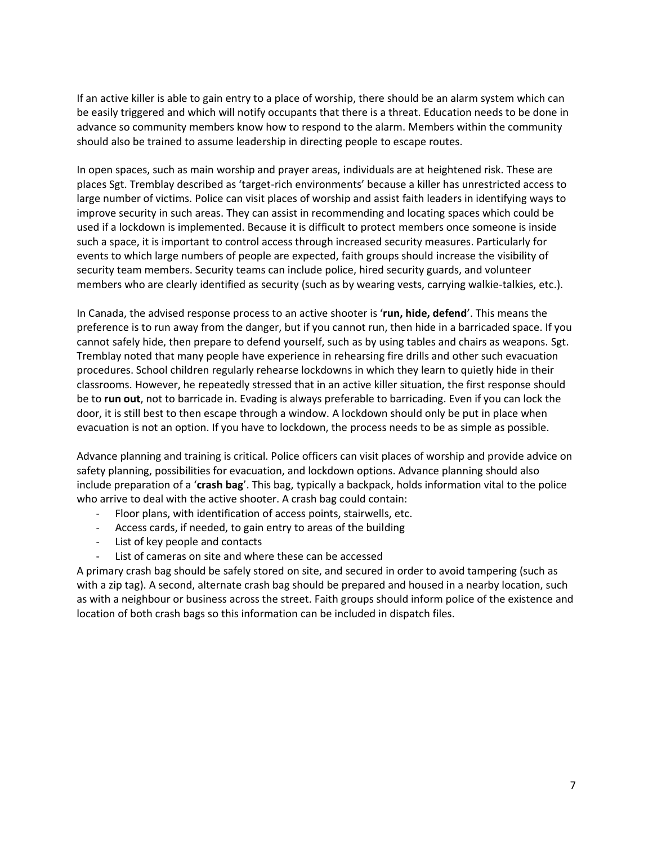If an active killer is able to gain entry to a place of worship, there should be an alarm system which can be easily triggered and which will notify occupants that there is a threat. Education needs to be done in advance so community members know how to respond to the alarm. Members within the community should also be trained to assume leadership in directing people to escape routes.

In open spaces, such as main worship and prayer areas, individuals are at heightened risk. These are places Sgt. Tremblay described as 'target-rich environments' because a killer has unrestricted access to large number of victims. Police can visit places of worship and assist faith leaders in identifying ways to improve security in such areas. They can assist in recommending and locating spaces which could be used if a lockdown is implemented. Because it is difficult to protect members once someone is inside such a space, it is important to control access through increased security measures. Particularly for events to which large numbers of people are expected, faith groups should increase the visibility of security team members. Security teams can include police, hired security guards, and volunteer members who are clearly identified as security (such as by wearing vests, carrying walkie-talkies, etc.).

In Canada, the advised response process to an active shooter is '**run, hide, defend**'. This means the preference is to run away from the danger, but if you cannot run, then hide in a barricaded space. If you cannot safely hide, then prepare to defend yourself, such as by using tables and chairs as weapons. Sgt. Tremblay noted that many people have experience in rehearsing fire drills and other such evacuation procedures. School children regularly rehearse lockdowns in which they learn to quietly hide in their classrooms. However, he repeatedly stressed that in an active killer situation, the first response should be to **run out**, not to barricade in. Evading is always preferable to barricading. Even if you can lock the door, it is still best to then escape through a window. A lockdown should only be put in place when evacuation is not an option. If you have to lockdown, the process needs to be as simple as possible.

Advance planning and training is critical. Police officers can visit places of worship and provide advice on safety planning, possibilities for evacuation, and lockdown options. Advance planning should also include preparation of a '**crash bag**'. This bag, typically a backpack, holds information vital to the police who arrive to deal with the active shooter. A crash bag could contain:

- Floor plans, with identification of access points, stairwells, etc.
- Access cards, if needed, to gain entry to areas of the building
- List of key people and contacts
- List of cameras on site and where these can be accessed

A primary crash bag should be safely stored on site, and secured in order to avoid tampering (such as with a zip tag). A second, alternate crash bag should be prepared and housed in a nearby location, such as with a neighbour or business across the street. Faith groups should inform police of the existence and location of both crash bags so this information can be included in dispatch files.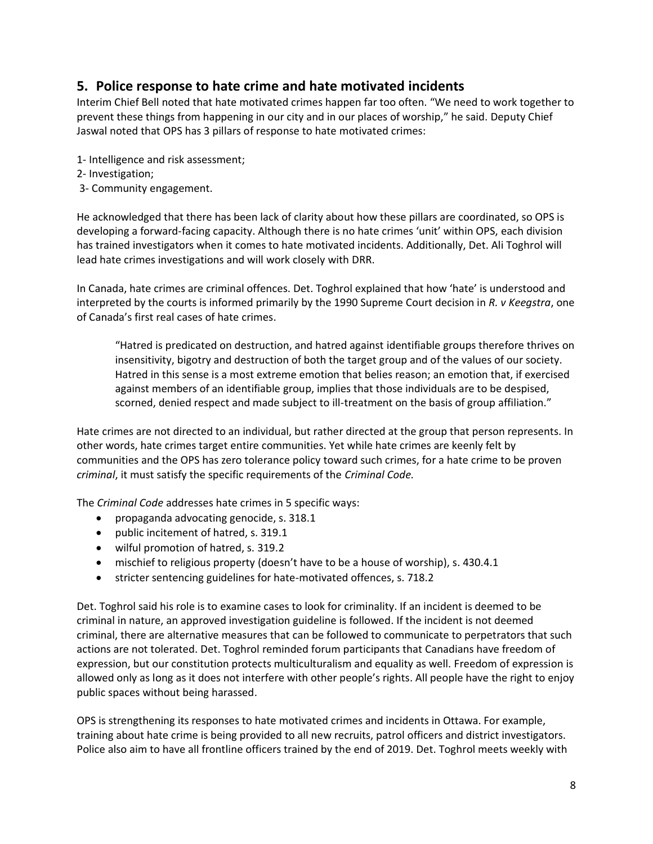## <span id="page-9-0"></span>**5. Police response to hate crime and hate motivated incidents**

Interim Chief Bell noted that hate motivated crimes happen far too often. "We need to work together to prevent these things from happening in our city and in our places of worship," he said. Deputy Chief Jaswal noted that OPS has 3 pillars of response to hate motivated crimes:

- 1- Intelligence and risk assessment;
- 2- Investigation;
- 3- Community engagement.

He acknowledged that there has been lack of clarity about how these pillars are coordinated, so OPS is developing a forward-facing capacity. Although there is no hate crimes 'unit' within OPS, each division has trained investigators when it comes to hate motivated incidents. Additionally, Det. Ali Toghrol will lead hate crimes investigations and will work closely with DRR.

In Canada, hate crimes are criminal offences. Det. Toghrol explained that how 'hate' is understood and interpreted by the courts is informed primarily by the 1990 Supreme Court decision in *R. v Keegstra*, one of Canada's first real cases of hate crimes.

"Hatred is predicated on destruction, and hatred against identifiable groups therefore thrives on insensitivity, bigotry and destruction of both the target group and of the values of our society. Hatred in this sense is a most extreme emotion that belies reason; an emotion that, if exercised against members of an identifiable group, implies that those individuals are to be despised, scorned, denied respect and made subject to ill-treatment on the basis of group affiliation."

Hate crimes are not directed to an individual, but rather directed at the group that person represents. In other words, hate crimes target entire communities. Yet while hate crimes are keenly felt by communities and the OPS has zero tolerance policy toward such crimes, for a hate crime to be proven *criminal*, it must satisfy the specific requirements of the *Criminal Code.* 

The *Criminal Code* addresses hate crimes in 5 specific ways:

- propaganda advocating genocide, s. 318.1
- public incitement of hatred, s. 319.1
- wilful promotion of hatred, s. 319.2
- mischief to religious property (doesn't have to be a house of worship), s. 430.4.1
- stricter sentencing guidelines for hate-motivated offences, s. 718.2

Det. Toghrol said his role is to examine cases to look for criminality. If an incident is deemed to be criminal in nature, an approved investigation guideline is followed. If the incident is not deemed criminal, there are alternative measures that can be followed to communicate to perpetrators that such actions are not tolerated. Det. Toghrol reminded forum participants that Canadians have freedom of expression, but our constitution protects multiculturalism and equality as well. Freedom of expression is allowed only as long as it does not interfere with other people's rights. All people have the right to enjoy public spaces without being harassed.

OPS is strengthening its responses to hate motivated crimes and incidents in Ottawa. For example, training about hate crime is being provided to all new recruits, patrol officers and district investigators. Police also aim to have all frontline officers trained by the end of 2019. Det. Toghrol meets weekly with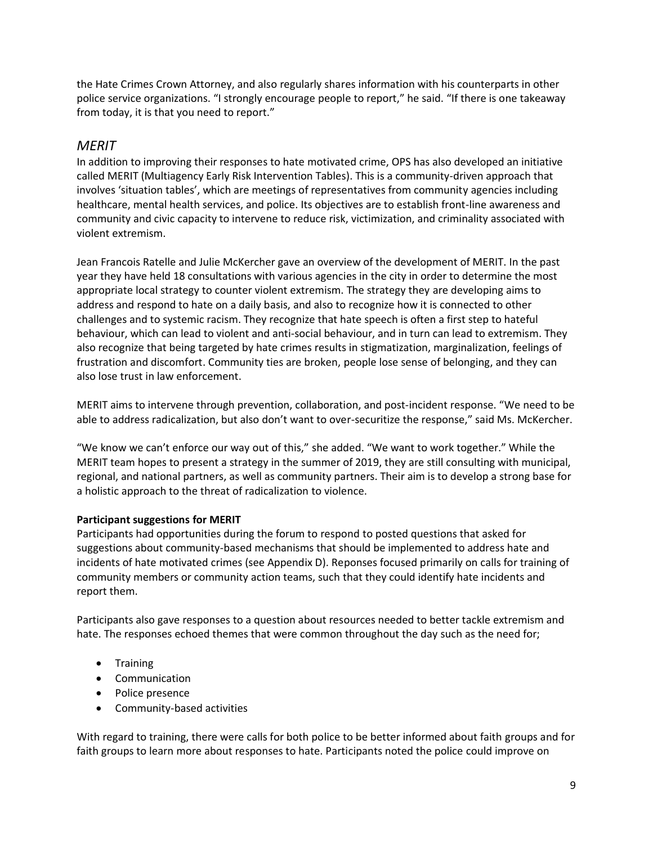the Hate Crimes Crown Attorney, and also regularly shares information with his counterparts in other police service organizations. "I strongly encourage people to report," he said. "If there is one takeaway from today, it is that you need to report."

#### <span id="page-10-0"></span>*MERIT*

In addition to improving their responses to hate motivated crime, OPS has also developed an initiative called MERIT (Multiagency Early Risk Intervention Tables). This is a community-driven approach that involves 'situation tables', which are meetings of representatives from community agencies including healthcare, mental health services, and police. Its objectives are to establish front-line awareness and community and civic capacity to intervene to reduce risk, victimization, and criminality associated with violent extremism.

Jean Francois Ratelle and Julie McKercher gave an overview of the development of MERIT. In the past year they have held 18 consultations with various agencies in the city in order to determine the most appropriate local strategy to counter violent extremism. The strategy they are developing aims to address and respond to hate on a daily basis, and also to recognize how it is connected to other challenges and to systemic racism. They recognize that hate speech is often a first step to hateful behaviour, which can lead to violent and anti-social behaviour, and in turn can lead to extremism. They also recognize that being targeted by hate crimes results in stigmatization, marginalization, feelings of frustration and discomfort. Community ties are broken, people lose sense of belonging, and they can also lose trust in law enforcement.

MERIT aims to intervene through prevention, collaboration, and post-incident response. "We need to be able to address radicalization, but also don't want to over-securitize the response," said Ms. McKercher.

"We know we can't enforce our way out of this," she added. "We want to work together." While the MERIT team hopes to present a strategy in the summer of 2019, they are still consulting with municipal, regional, and national partners, as well as community partners. Their aim is to develop a strong base for a holistic approach to the threat of radicalization to violence.

#### **Participant suggestions for MERIT**

Participants had opportunities during the forum to respond to posted questions that asked for suggestions about community-based mechanisms that should be implemented to address hate and incidents of hate motivated crimes (see Appendix D). Reponses focused primarily on calls for training of community members or community action teams, such that they could identify hate incidents and report them.

Participants also gave responses to a question about resources needed to better tackle extremism and hate. The responses echoed themes that were common throughout the day such as the need for;

- Training
- Communication
- Police presence
- Community-based activities

With regard to training, there were calls for both police to be better informed about faith groups and for faith groups to learn more about responses to hate. Participants noted the police could improve on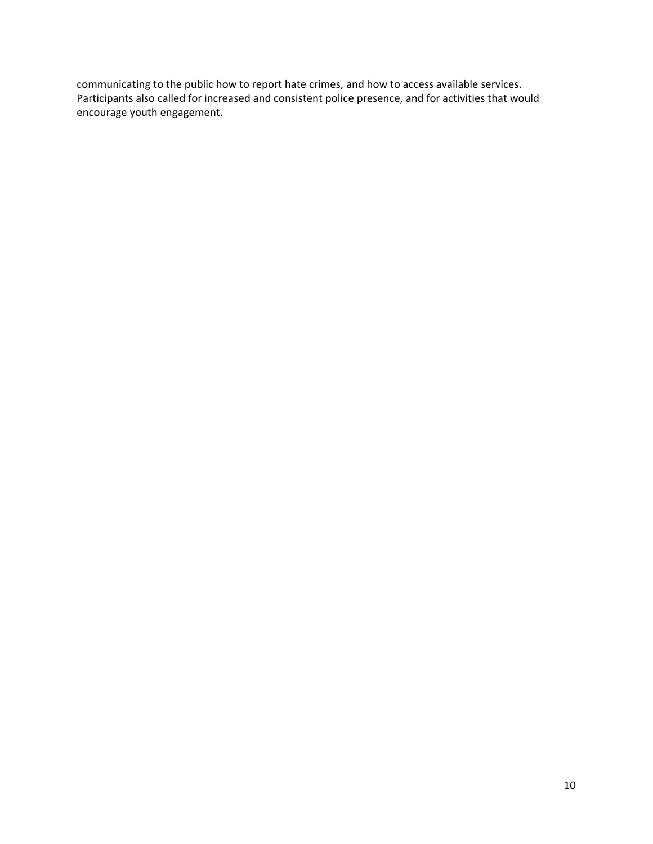communicating to the public how to report hate crimes, and how to access available services. Participants also called for increased and consistent police presence, and for activities that would encourage youth engagement.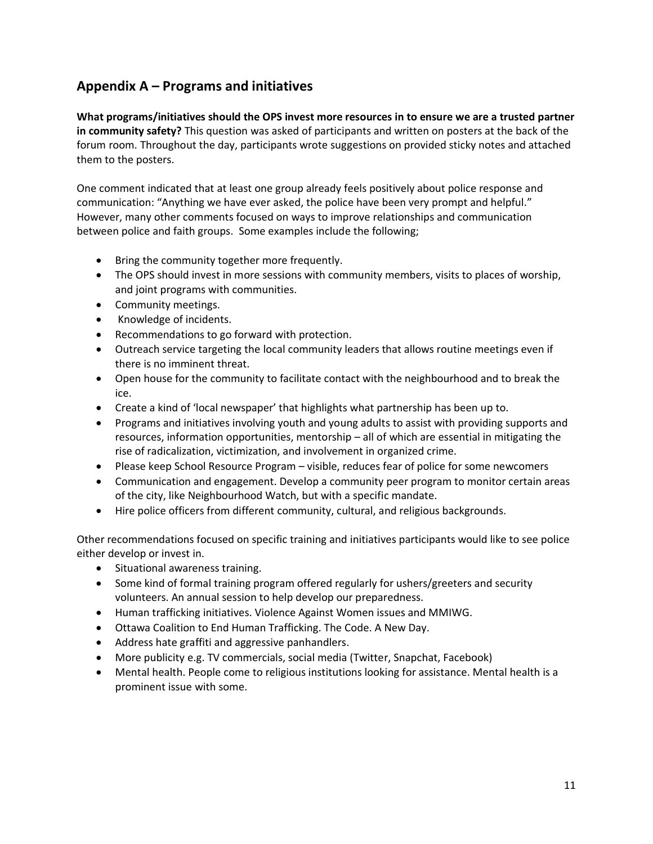# <span id="page-12-0"></span>**Appendix A – Programs and initiatives**

**What programs/initiatives should the OPS invest more resources in to ensure we are a trusted partner in community safety?** This question was asked of participants and written on posters at the back of the forum room. Throughout the day, participants wrote suggestions on provided sticky notes and attached them to the posters.

One comment indicated that at least one group already feels positively about police response and communication: "Anything we have ever asked, the police have been very prompt and helpful." However, many other comments focused on ways to improve relationships and communication between police and faith groups. Some examples include the following;

- Bring the community together more frequently.
- The OPS should invest in more sessions with community members, visits to places of worship, and joint programs with communities.
- Community meetings.
- Knowledge of incidents.
- Recommendations to go forward with protection.
- Outreach service targeting the local community leaders that allows routine meetings even if there is no imminent threat.
- Open house for the community to facilitate contact with the neighbourhood and to break the ice.
- Create a kind of 'local newspaper' that highlights what partnership has been up to.
- Programs and initiatives involving youth and young adults to assist with providing supports and resources, information opportunities, mentorship – all of which are essential in mitigating the rise of radicalization, victimization, and involvement in organized crime.
- Please keep School Resource Program visible, reduces fear of police for some newcomers
- Communication and engagement. Develop a community peer program to monitor certain areas of the city, like Neighbourhood Watch, but with a specific mandate.
- Hire police officers from different community, cultural, and religious backgrounds.

Other recommendations focused on specific training and initiatives participants would like to see police either develop or invest in.

- Situational awareness training.
- Some kind of formal training program offered regularly for ushers/greeters and security volunteers. An annual session to help develop our preparedness.
- Human trafficking initiatives. Violence Against Women issues and MMIWG.
- Ottawa Coalition to End Human Trafficking. The Code. A New Day.
- Address hate graffiti and aggressive panhandlers.
- More publicity e.g. TV commercials, social media (Twitter, Snapchat, Facebook)
- Mental health. People come to religious institutions looking for assistance. Mental health is a prominent issue with some.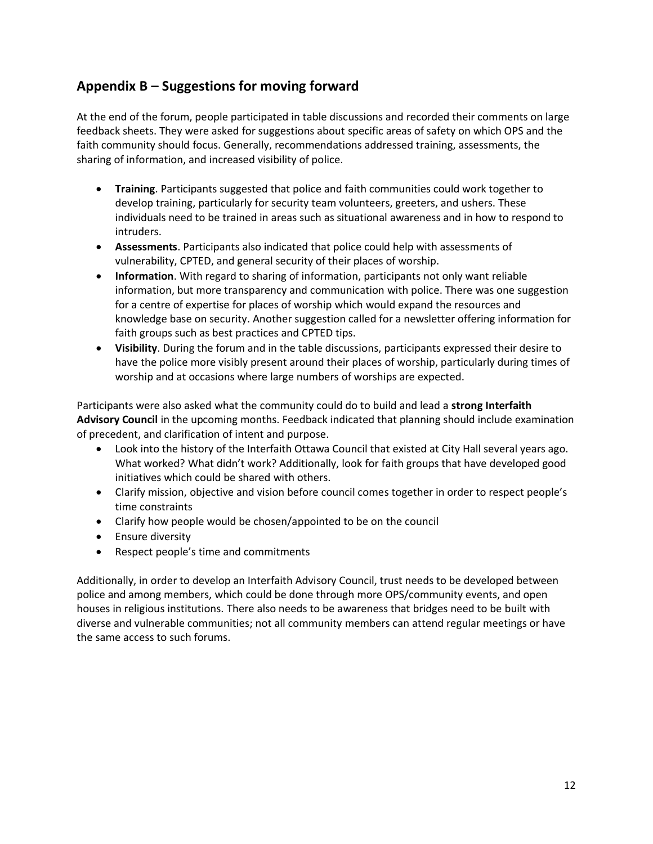# <span id="page-13-0"></span>**Appendix B – Suggestions for moving forward**

At the end of the forum, people participated in table discussions and recorded their comments on large feedback sheets. They were asked for suggestions about specific areas of safety on which OPS and the faith community should focus. Generally, recommendations addressed training, assessments, the sharing of information, and increased visibility of police.

- **Training**. Participants suggested that police and faith communities could work together to develop training, particularly for security team volunteers, greeters, and ushers. These individuals need to be trained in areas such as situational awareness and in how to respond to intruders.
- **Assessments**. Participants also indicated that police could help with assessments of vulnerability, CPTED, and general security of their places of worship.
- **Information**. With regard to sharing of information, participants not only want reliable information, but more transparency and communication with police. There was one suggestion for a centre of expertise for places of worship which would expand the resources and knowledge base on security. Another suggestion called for a newsletter offering information for faith groups such as best practices and CPTED tips.
- **Visibility**. During the forum and in the table discussions, participants expressed their desire to have the police more visibly present around their places of worship, particularly during times of worship and at occasions where large numbers of worships are expected.

Participants were also asked what the community could do to build and lead a **strong Interfaith Advisory Council** in the upcoming months. Feedback indicated that planning should include examination of precedent, and clarification of intent and purpose.

- Look into the history of the Interfaith Ottawa Council that existed at City Hall several years ago. What worked? What didn't work? Additionally, look for faith groups that have developed good initiatives which could be shared with others.
- Clarify mission, objective and vision before council comes together in order to respect people's time constraints
- Clarify how people would be chosen/appointed to be on the council
- Ensure diversity
- Respect people's time and commitments

<span id="page-13-1"></span>Additionally, in order to develop an Interfaith Advisory Council, trust needs to be developed between police and among members, which could be done through more OPS/community events, and open houses in religious institutions. There also needs to be awareness that bridges need to be built with diverse and vulnerable communities; not all community members can attend regular meetings or have the same access to such forums.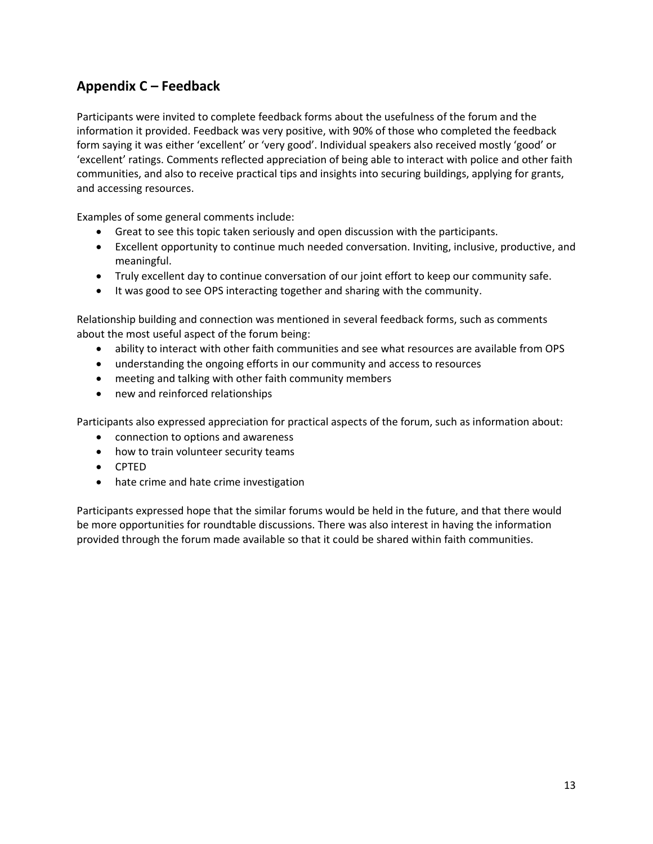# **Appendix C – Feedback**

Participants were invited to complete feedback forms about the usefulness of the forum and the information it provided. Feedback was very positive, with 90% of those who completed the feedback form saying it was either 'excellent' or 'very good'. Individual speakers also received mostly 'good' or 'excellent' ratings. Comments reflected appreciation of being able to interact with police and other faith communities, and also to receive practical tips and insights into securing buildings, applying for grants, and accessing resources.

Examples of some general comments include:

- Great to see this topic taken seriously and open discussion with the participants.
- Excellent opportunity to continue much needed conversation. Inviting, inclusive, productive, and meaningful.
- Truly excellent day to continue conversation of our joint effort to keep our community safe.
- It was good to see OPS interacting together and sharing with the community.

Relationship building and connection was mentioned in several feedback forms, such as comments about the most useful aspect of the forum being:

- ability to interact with other faith communities and see what resources are available from OPS
- understanding the ongoing efforts in our community and access to resources
- meeting and talking with other faith community members
- new and reinforced relationships

Participants also expressed appreciation for practical aspects of the forum, such as information about:

- connection to options and awareness
- how to train volunteer security teams
- CPTED
- hate crime and hate crime investigation

Participants expressed hope that the similar forums would be held in the future, and that there would be more opportunities for roundtable discussions. There was also interest in having the information provided through the forum made available so that it could be shared within faith communities.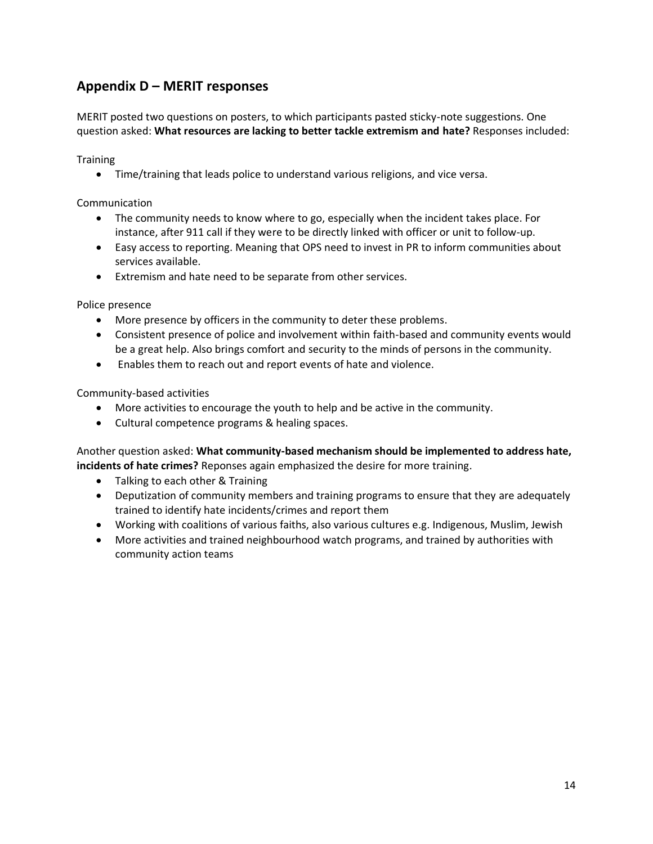# <span id="page-15-0"></span>**Appendix D – MERIT responses**

MERIT posted two questions on posters, to which participants pasted sticky-note suggestions. One question asked: **What resources are lacking to better tackle extremism and hate?** Responses included:

**Training** 

• Time/training that leads police to understand various religions, and vice versa.

Communication

- The community needs to know where to go, especially when the incident takes place. For instance, after 911 call if they were to be directly linked with officer or unit to follow-up.
- Easy access to reporting. Meaning that OPS need to invest in PR to inform communities about services available.
- Extremism and hate need to be separate from other services.

Police presence

- More presence by officers in the community to deter these problems.
- Consistent presence of police and involvement within faith-based and community events would be a great help. Also brings comfort and security to the minds of persons in the community.
- Enables them to reach out and report events of hate and violence.

Community-based activities

- More activities to encourage the youth to help and be active in the community.
- Cultural competence programs & healing spaces.

Another question asked: **What community-based mechanism should be implemented to address hate, incidents of hate crimes?** Reponses again emphasized the desire for more training.

- Talking to each other & Training
- Deputization of community members and training programs to ensure that they are adequately trained to identify hate incidents/crimes and report them
- Working with coalitions of various faiths, also various cultures e.g. Indigenous, Muslim, Jewish
- More activities and trained neighbourhood watch programs, and trained by authorities with community action teams